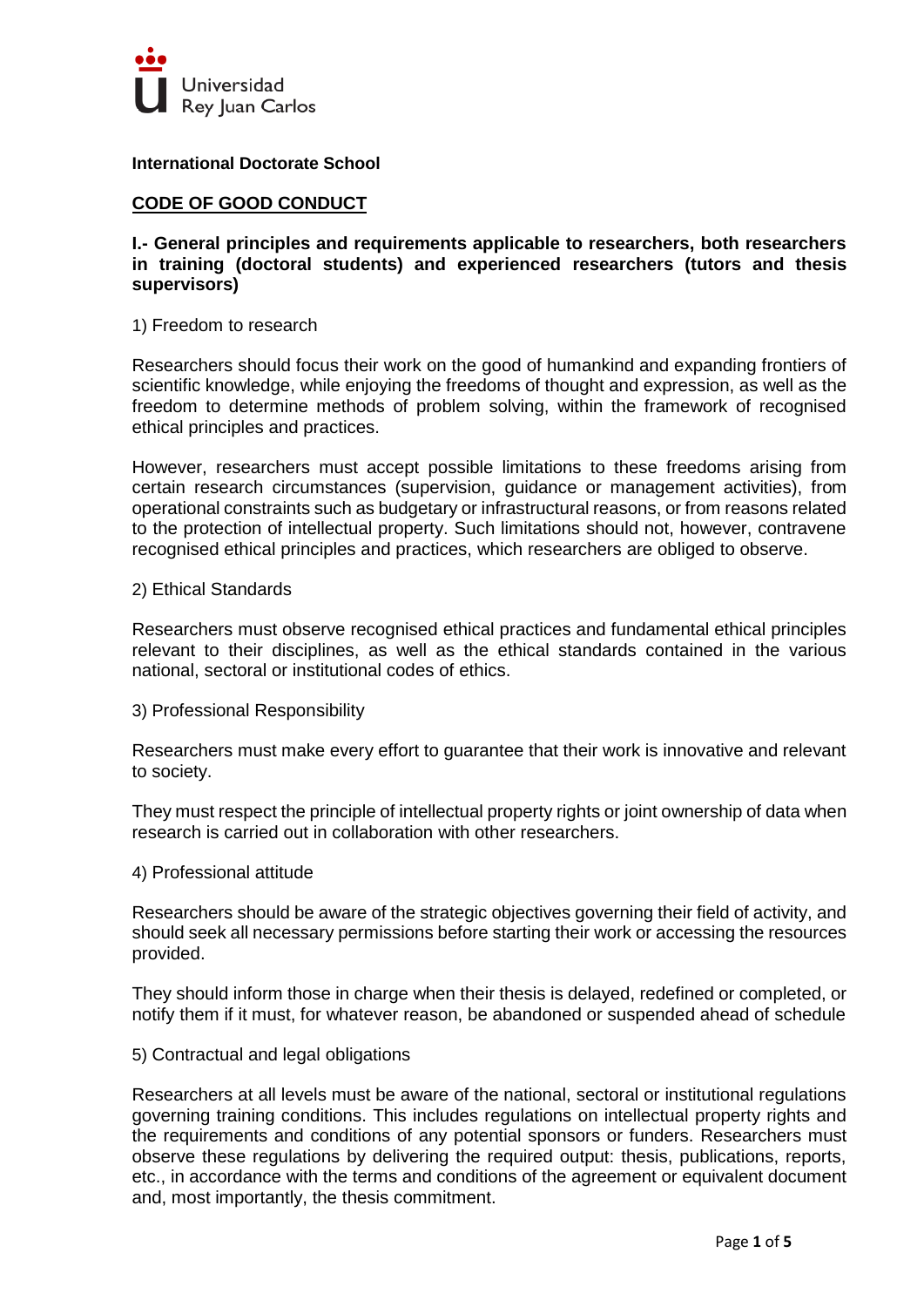

**International Doctorate School**

## **CODE OF GOOD CONDUCT**

**I.- General principles and requirements applicable to researchers, both researchers in training (doctoral students) and experienced researchers (tutors and thesis supervisors)**

### 1) Freedom to research

Researchers should focus their work on the good of humankind and expanding frontiers of scientific knowledge, while enjoying the freedoms of thought and expression, as well as the freedom to determine methods of problem solving, within the framework of recognised ethical principles and practices.

However, researchers must accept possible limitations to these freedoms arising from certain research circumstances (supervision, guidance or management activities), from operational constraints such as budgetary or infrastructural reasons, or from reasons related to the protection of intellectual property. Such limitations should not, however, contravene recognised ethical principles and practices, which researchers are obliged to observe.

### 2) Ethical Standards

Researchers must observe recognised ethical practices and fundamental ethical principles relevant to their disciplines, as well as the ethical standards contained in the various national, sectoral or institutional codes of ethics.

3) Professional Responsibility

Researchers must make every effort to guarantee that their work is innovative and relevant to society.

They must respect the principle of intellectual property rights or joint ownership of data when research is carried out in collaboration with other researchers.

4) Professional attitude

Researchers should be aware of the strategic objectives governing their field of activity, and should seek all necessary permissions before starting their work or accessing the resources provided.

They should inform those in charge when their thesis is delayed, redefined or completed, or notify them if it must, for whatever reason, be abandoned or suspended ahead of schedule

## 5) Contractual and legal obligations

Researchers at all levels must be aware of the national, sectoral or institutional regulations governing training conditions. This includes regulations on intellectual property rights and the requirements and conditions of any potential sponsors or funders. Researchers must observe these regulations by delivering the required output: thesis, publications, reports, etc., in accordance with the terms and conditions of the agreement or equivalent document and, most importantly, the thesis commitment.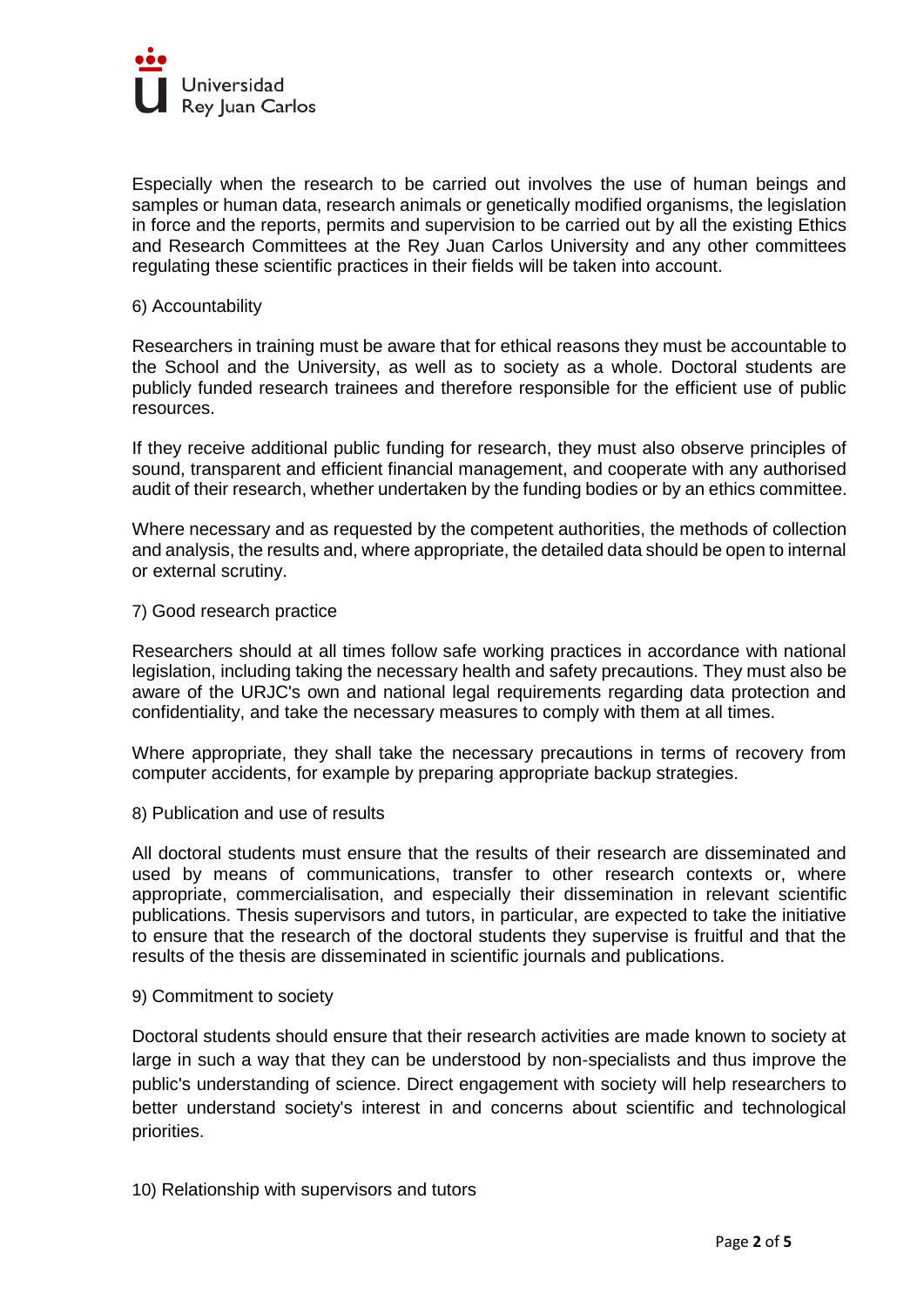

Especially when the research to be carried out involves the use of human beings and samples or human data, research animals or genetically modified organisms, the legislation in force and the reports, permits and supervision to be carried out by all the existing Ethics and Research Committees at the Rey Juan Carlos University and any other committees regulating these scientific practices in their fields will be taken into account.

### 6) Accountability

Researchers in training must be aware that for ethical reasons they must be accountable to the School and the University, as well as to society as a whole. Doctoral students are publicly funded research trainees and therefore responsible for the efficient use of public resources.

If they receive additional public funding for research, they must also observe principles of sound, transparent and efficient financial management, and cooperate with any authorised audit of their research, whether undertaken by the funding bodies or by an ethics committee.

Where necessary and as requested by the competent authorities, the methods of collection and analysis, the results and, where appropriate, the detailed data should be open to internal or external scrutiny.

### 7) Good research practice

Researchers should at all times follow safe working practices in accordance with national legislation, including taking the necessary health and safety precautions. They must also be aware of the URJC's own and national legal requirements regarding data protection and confidentiality, and take the necessary measures to comply with them at all times.

Where appropriate, they shall take the necessary precautions in terms of recovery from computer accidents, for example by preparing appropriate backup strategies.

8) Publication and use of results

All doctoral students must ensure that the results of their research are disseminated and used by means of communications, transfer to other research contexts or, where appropriate, commercialisation, and especially their dissemination in relevant scientific publications. Thesis supervisors and tutors, in particular, are expected to take the initiative to ensure that the research of the doctoral students they supervise is fruitful and that the results of the thesis are disseminated in scientific journals and publications.

#### 9) Commitment to society

Doctoral students should ensure that their research activities are made known to society at large in such a way that they can be understood by non-specialists and thus improve the public's understanding of science. Direct engagement with society will help researchers to better understand society's interest in and concerns about scientific and technological priorities.

10) Relationship with supervisors and tutors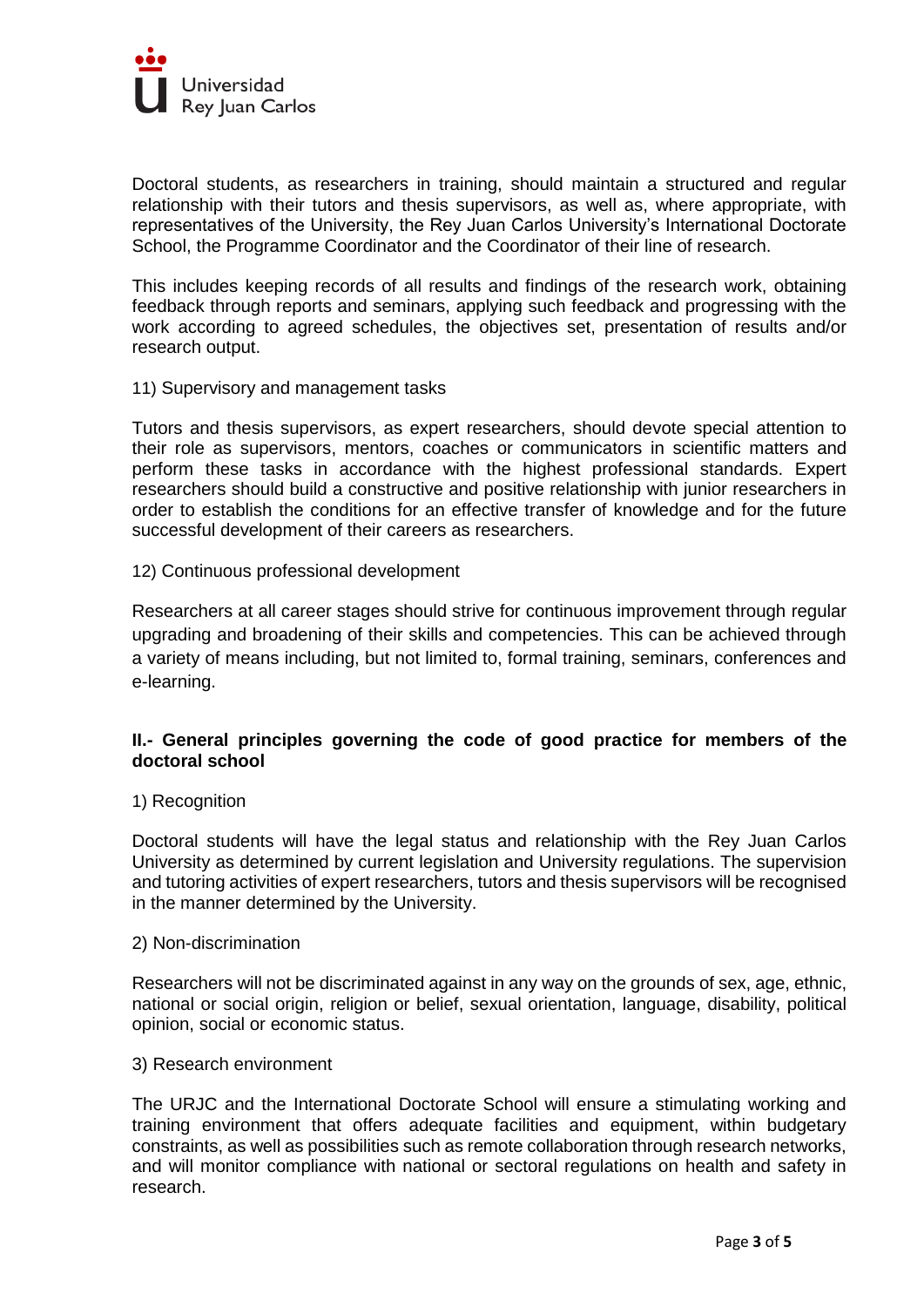

Doctoral students, as researchers in training, should maintain a structured and regular relationship with their tutors and thesis supervisors, as well as, where appropriate, with representatives of the University, the Rey Juan Carlos University's International Doctorate School, the Programme Coordinator and the Coordinator of their line of research.

This includes keeping records of all results and findings of the research work, obtaining feedback through reports and seminars, applying such feedback and progressing with the work according to agreed schedules, the objectives set, presentation of results and/or research output.

### 11) Supervisory and management tasks

Tutors and thesis supervisors, as expert researchers, should devote special attention to their role as supervisors, mentors, coaches or communicators in scientific matters and perform these tasks in accordance with the highest professional standards. Expert researchers should build a constructive and positive relationship with junior researchers in order to establish the conditions for an effective transfer of knowledge and for the future successful development of their careers as researchers.

### 12) Continuous professional development

Researchers at all career stages should strive for continuous improvement through regular upgrading and broadening of their skills and competencies. This can be achieved through a variety of means including, but not limited to, formal training, seminars, conferences and e-learning.

# **II.- General principles governing the code of good practice for members of the doctoral school**

#### 1) Recognition

Doctoral students will have the legal status and relationship with the Rey Juan Carlos University as determined by current legislation and University regulations. The supervision and tutoring activities of expert researchers, tutors and thesis supervisors will be recognised in the manner determined by the University.

#### 2) Non-discrimination

Researchers will not be discriminated against in any way on the grounds of sex, age, ethnic, national or social origin, religion or belief, sexual orientation, language, disability, political opinion, social or economic status.

#### 3) Research environment

The URJC and the International Doctorate School will ensure a stimulating working and training environment that offers adequate facilities and equipment, within budgetary constraints, as well as possibilities such as remote collaboration through research networks, and will monitor compliance with national or sectoral regulations on health and safety in research.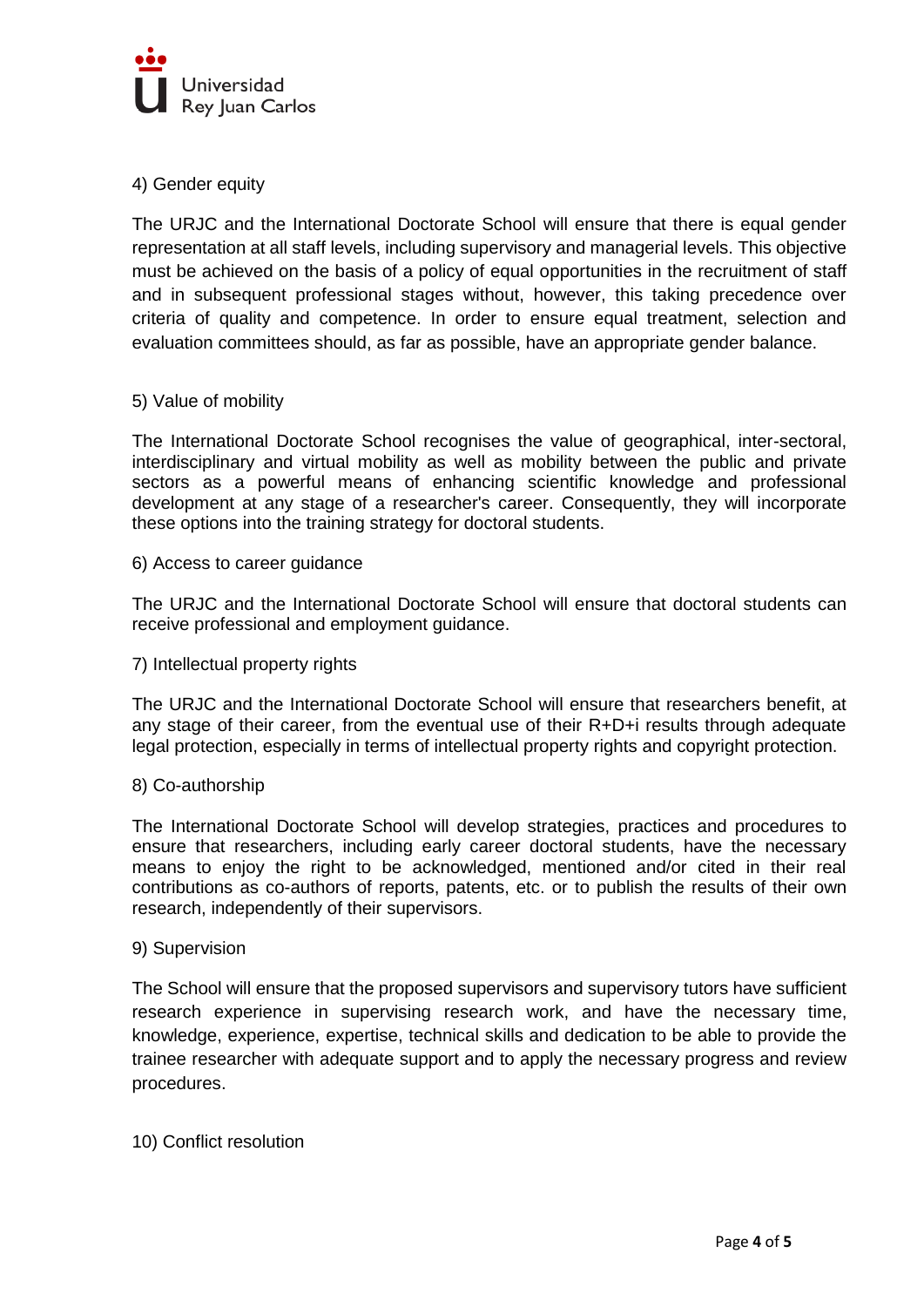

# 4) Gender equity

The URJC and the International Doctorate School will ensure that there is equal gender representation at all staff levels, including supervisory and managerial levels. This objective must be achieved on the basis of a policy of equal opportunities in the recruitment of staff and in subsequent professional stages without, however, this taking precedence over criteria of quality and competence. In order to ensure equal treatment, selection and evaluation committees should, as far as possible, have an appropriate gender balance.

## 5) Value of mobility

The International Doctorate School recognises the value of geographical, inter-sectoral, interdisciplinary and virtual mobility as well as mobility between the public and private sectors as a powerful means of enhancing scientific knowledge and professional development at any stage of a researcher's career. Consequently, they will incorporate these options into the training strategy for doctoral students.

## 6) Access to career guidance

The URJC and the International Doctorate School will ensure that doctoral students can receive professional and employment guidance.

## 7) Intellectual property rights

The URJC and the International Doctorate School will ensure that researchers benefit, at any stage of their career, from the eventual use of their  $R+D+i$  results through adequate legal protection, especially in terms of intellectual property rights and copyright protection.

## 8) Co-authorship

The International Doctorate School will develop strategies, practices and procedures to ensure that researchers, including early career doctoral students, have the necessary means to enjoy the right to be acknowledged, mentioned and/or cited in their real contributions as co-authors of reports, patents, etc. or to publish the results of their own research, independently of their supervisors.

#### 9) Supervision

The School will ensure that the proposed supervisors and supervisory tutors have sufficient research experience in supervising research work, and have the necessary time, knowledge, experience, expertise, technical skills and dedication to be able to provide the trainee researcher with adequate support and to apply the necessary progress and review procedures.

## 10) Conflict resolution